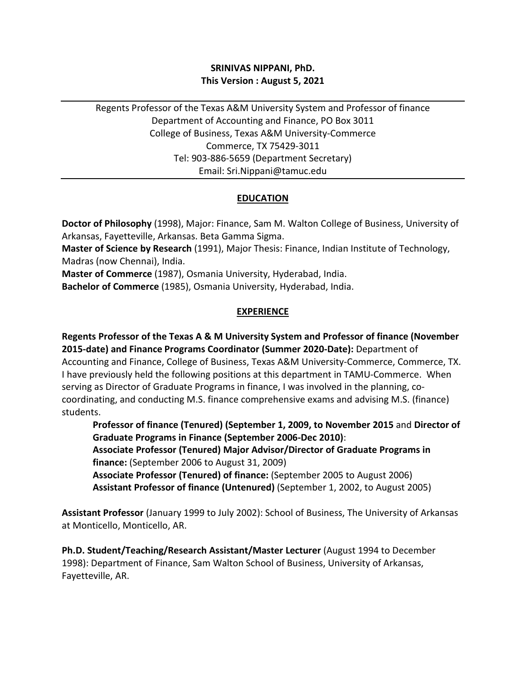## **SRINIVAS NIPPANI, PhD. This Version : August 5, 2021**

Regents Professor of the Texas A&M University System and Professor of finance Department of Accounting and Finance, PO Box 3011 College of Business, Texas A&M University-Commerce Commerce, TX 75429-3011 Tel: 903-886-5659 (Department Secretary) Email: Sri.Nippani@tamuc.edu

## **EDUCATION**

**Doctor of Philosophy** (1998), Major: Finance, Sam M. Walton College of Business, University of Arkansas, Fayetteville, Arkansas. Beta Gamma Sigma.

**Master of Science by Research** (1991), Major Thesis: Finance, Indian Institute of Technology, Madras (now Chennai), India.

**Master of Commerce** (1987), Osmania University, Hyderabad, India.

**Bachelor of Commerce** (1985), Osmania University, Hyderabad, India.

### **EXPERIENCE**

**Regents Professor of the Texas A & M University System and Professor of finance (November 2015-date) and Finance Programs Coordinator (Summer 2020-Date):** Department of Accounting and Finance, College of Business, Texas A&M University-Commerce, Commerce, TX. I have previously held the following positions at this department in TAMU-Commerce. When serving as Director of Graduate Programs in finance, I was involved in the planning, cocoordinating, and conducting M.S. finance comprehensive exams and advising M.S. (finance) students.

**Professor of finance (Tenured) (September 1, 2009, to November 2015** and **Director of Graduate Programs in Finance (September 2006-Dec 2010)**:

**Associate Professor (Tenured) Major Advisor/Director of Graduate Programs in finance:** (September 2006 to August 31, 2009)

**Associate Professor (Tenured) of finance:** (September 2005 to August 2006) **Assistant Professor of finance (Untenured)** (September 1, 2002, to August 2005)

**Assistant Professor** (January 1999 to July 2002): School of Business, The University of Arkansas at Monticello, Monticello, AR.

**Ph.D. Student/Teaching/Research Assistant/Master Lecturer** (August 1994 to December 1998): Department of Finance, Sam Walton School of Business, University of Arkansas, Fayetteville, AR.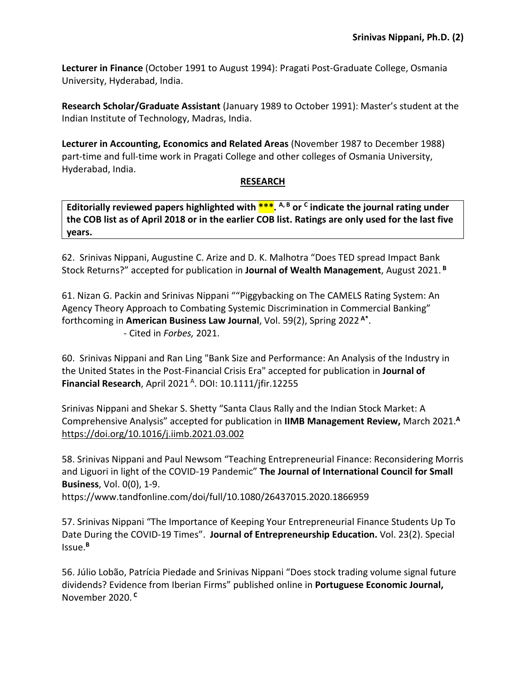**Lecturer in Finance** (October 1991 to August 1994): Pragati Post-Graduate College, Osmania University, Hyderabad, India.

**Research Scholar/Graduate Assistant** (January 1989 to October 1991): Master's student at the Indian Institute of Technology, Madras, India.

**Lecturer in Accounting, Economics and Related Areas** (November 1987 to December 1988) part-time and full-time work in Pragati College and other colleges of Osmania University, Hyderabad, India.

### **RESEARCH**

**Editorially reviewed papers highlighted with \*\*\*. A, B or C indicate the journal rating under the COB list as of April 2018 or in the earlier COB list. Ratings are only used for the last five years.** 

62. Srinivas Nippani, Augustine C. Arize and D. K. Malhotra "Does TED spread Impact Bank Stock Returns?" accepted for publication in **Journal of Wealth Management**, August 2021. **<sup>B</sup>**

61. Nizan G. Packin and Srinivas Nippani ""Piggybacking on The CAMELS Rating System: An Agency Theory Approach to Combating Systemic Discrimination in Commercial Banking" forthcoming in **American Business Law Journal**, Vol. 59(2), Spring 2022 **A\***. - Cited in *Forbes,* 2021.

60. Srinivas Nippani and Ran Ling "Bank Size and Performance: An Analysis of the Industry in the United States in the Post-Financial Crisis Era" accepted for publication in **Journal of Financial Research**, April 2021 A. DOI: 10.1111/jfir.12255

Srinivas Nippani and Shekar S. Shetty "Santa Claus Rally and the Indian Stock Market: A Comprehensive Analysis" accepted for publication in **IIMB Management Review,** March 2021. **A** <https://doi.org/10.1016/j.iimb.2021.03.002>

58. Srinivas Nippani and Paul Newsom "Teaching Entrepreneurial Finance: Reconsidering Morris and Liguori in light of the COVID-19 Pandemic" **The Journal of International Council for Small Business**, Vol. 0(0), 1-9.

https://www.tandfonline.com/doi/full/10.1080/26437015.2020.1866959

57. Srinivas Nippani "The Importance of Keeping Your Entrepreneurial Finance Students Up To Date During the COVID-19 Times". **Journal of Entrepreneurship Education.** Vol. 23(2). Special Issue.**<sup>B</sup>**

56. Júlio Lobão, Patrícia Piedade and Srinivas Nippani "Does stock trading volume signal future dividends? Evidence from Iberian Firms" published online in **Portuguese Economic Journal,**  November 2020. **<sup>C</sup>**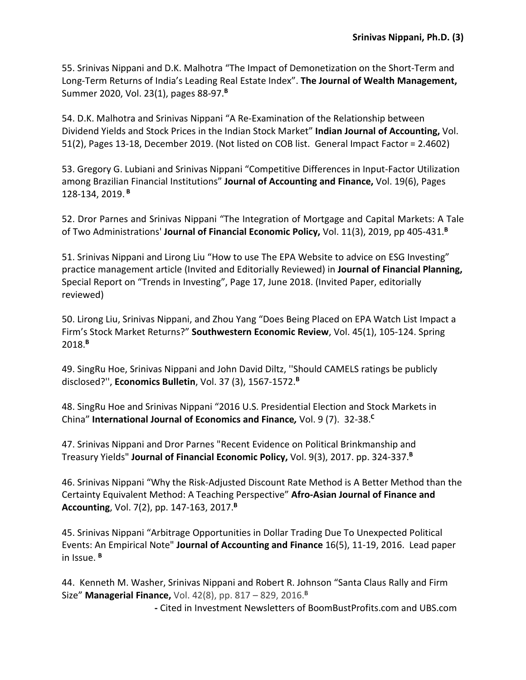55. Srinivas Nippani and D.K. Malhotra "The Impact of Demonetization on the Short-Term and Long-Term Returns of India's Leading Real Estate Index". **The Journal of Wealth Management,**  Summer 2020, Vol. 23(1), pages 88-97.**<sup>B</sup>**

54. D.K. Malhotra and Srinivas Nippani "A Re-Examination of the Relationship between Dividend Yields and Stock Prices in the Indian Stock Market" **Indian Journal of Accounting,** Vol. 51(2), Pages 13-18, December 2019. (Not listed on COB list. General Impact Factor = 2.4602)

53. Gregory G. Lubiani and Srinivas Nippani "Competitive Differences in Input-Factor Utilization among Brazilian Financial Institutions" **Journal of Accounting and Finance,** Vol. 19(6), Pages 128-134, 2019. **<sup>B</sup>**

52. Dror Parnes and Srinivas Nippani "The Integration of Mortgage and Capital Markets: A Tale of Two Administrations' **Journal of Financial Economic Policy,** Vol. 11(3), 2019, pp 405-431.**<sup>B</sup>**

51. Srinivas Nippani and Lirong Liu "How to use The EPA Website to advice on ESG Investing" practice management article (Invited and Editorially Reviewed) in **Journal of Financial Planning,**  Special Report on "Trends in Investing", Page 17, June 2018. (Invited Paper, editorially reviewed)

50. Lirong Liu, Srinivas Nippani, and Zhou Yang "Does Being Placed on EPA Watch List Impact a Firm's Stock Market Returns?" **Southwestern Economic Review**, Vol. 45(1), 105-124. Spring 2018.**<sup>B</sup>**

49. SingRu Hoe, Srinivas Nippani and John David Diltz, ''Should CAMELS ratings be publicly disclosed?'', **Economics Bulletin**, Vol. 37 (3), 1567-1572. **B**

48. SingRu Hoe and Srinivas Nippani "2016 U.S. Presidential Election and Stock Markets in China" **International Journal of Economics and Finance***,* Vol. 9 (7). 32-38.**<sup>C</sup>**

47. Srinivas Nippani and Dror Parnes "Recent Evidence on Political Brinkmanship and Treasury Yields" **Journal of Financial Economic Policy,** Vol. 9(3), 2017. pp. 324-337.**<sup>B</sup>**

46. Srinivas Nippani "Why the Risk-Adjusted Discount Rate Method is A Better Method than the Certainty Equivalent Method: A Teaching Perspective" **Afro-Asian Journal of Finance and Accounting**, Vol. 7(2), pp. 147-163, 2017.**<sup>B</sup>**

45. Srinivas Nippani "Arbitrage Opportunities in Dollar Trading Due To Unexpected Political Events: An Empirical Note" **Journal of Accounting and Finance** 16(5), 11-19, 2016. Lead paper in Issue. **<sup>B</sup>**

44. Kenneth M. Washer, Srinivas Nippani and Robert R. Johnson "Santa Claus Rally and Firm Size" **Managerial Finance,** Vol. 42(8), pp. 817 – 829, 2016. **B**

**-** Cited in Investment Newsletters of BoomBustProfits.com and UBS.com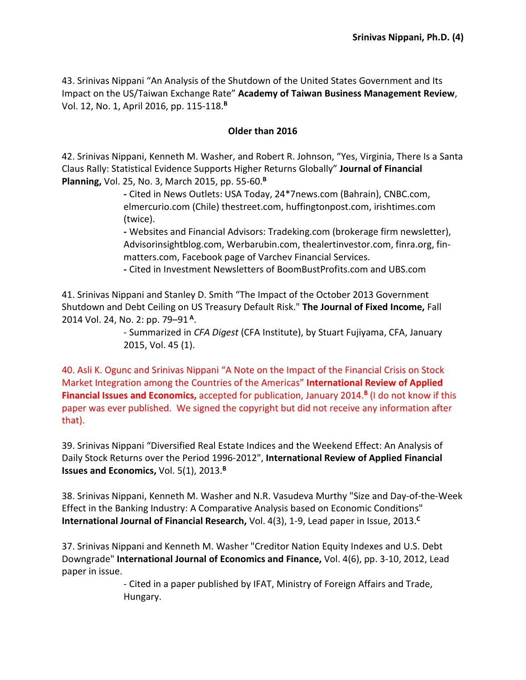43. Srinivas Nippani "An Analysis of the Shutdown of the United States Government and Its Impact on the US/Taiwan Exchange Rate" **Academy of Taiwan Business Management Review**, Vol. 12, No. 1, April 2016, pp. 115-118.**<sup>B</sup>**

#### **Older than 2016**

42. Srinivas Nippani, Kenneth M. Washer, and Robert R. Johnson, "Yes, Virginia, There Is a Santa Claus Rally: Statistical Evidence Supports Higher Returns Globally" **Journal of Financial Planning,** Vol. 25, No. 3, March 2015, pp. 55-60.**<sup>B</sup>**

> **-** Cited in News Outlets: USA Today, 24\*7news.com (Bahrain), CNBC.com, elmercurio.com (Chile) thestreet.com, huffingtonpost.com, irishtimes.com (twice).

**-** Websites and Financial Advisors: Tradeking.com (brokerage firm newsletter), Advisorinsightblog.com, Werbarubin.com, thealertinvestor.com, finra.org, finmatters.com, Facebook page of Varchev Financial Services.

**-** Cited in Investment Newsletters of BoomBustProfits.com and UBS.com

41. Srinivas Nippani and Stanley D. Smith "The Impact of the October 2013 Government Shutdown and Debt Ceiling on US Treasury Default Risk." **The Journal of Fixed Income,** Fall 2014 Vol. 24, No. 2: pp. 79–91 **<sup>A</sup>**.

> - Summarized in *CFA Digest* (CFA Institute), by Stuart Fujiyama, CFA, January 2015, Vol. 45 (1).

40. Asli K. Ogunc and Srinivas Nippani "A Note on the Impact of the Financial Crisis on Stock Market Integration among the Countries of the Americas" **International Review of Applied Financial Issues and Economics,** accepted for publication, January 2014.**<sup>B</sup>** (I do not know if this paper was ever published. We signed the copyright but did not receive any information after that).

39. Srinivas Nippani "Diversified Real Estate Indices and the Weekend Effect: An Analysis of Daily Stock Returns over the Period 1996-2012", **International Review of Applied Financial Issues and Economics,** Vol. 5(1), 2013. **B**

38. Srinivas Nippani, Kenneth M. Washer and N.R. Vasudeva Murthy "Size and Day-of-the-Week Effect in the Banking Industry: A Comparative Analysis based on Economic Conditions" **International Journal of Financial Research,** Vol. 4(3), 1-9, Lead paper in Issue, 2013.**<sup>C</sup>**

37. Srinivas Nippani and Kenneth M. Washer "Creditor Nation Equity Indexes and U.S. Debt Downgrade" **International Journal of Economics and Finance,** Vol. 4(6), pp. 3-10, 2012, Lead paper in issue.

> - Cited in a paper published by IFAT, Ministry of Foreign Affairs and Trade, Hungary.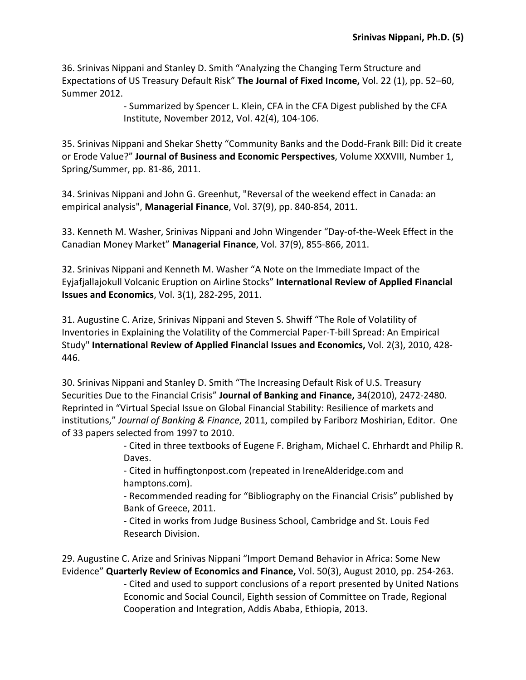36. Srinivas Nippani and Stanley D. Smith "Analyzing the Changing Term Structure and Expectations of US Treasury Default Risk" **The Journal of Fixed Income,** Vol. 22 (1), pp. 52–60, Summer 2012.

> - Summarized by Spencer L. Klein, CFA in the CFA Digest published by the CFA Institute, November 2012, Vol. 42(4), 104-106.

35. Srinivas Nippani and Shekar Shetty "Community Banks and the Dodd-Frank Bill: Did it create or Erode Value?" **Journal of Business and Economic Perspectives**, Volume XXXVIII, Number 1, Spring/Summer, pp. 81-86, 2011.

34. Srinivas Nippani and John G. Greenhut, "Reversal of the weekend effect in Canada: an empirical analysis", **Managerial Finance**, Vol. 37(9), pp. 840-854, 2011.

33. Kenneth M. Washer, Srinivas Nippani and John Wingender "Day-of-the-Week Effect in the Canadian Money Market" **Managerial Finance**, Vol. 37(9), 855-866, 2011.

32. Srinivas Nippani and Kenneth M. Washer "A Note on the Immediate Impact of the Eyjafjallajokull Volcanic Eruption on Airline Stocks" **International Review of Applied Financial Issues and Economics**, Vol. 3(1), 282-295, 2011.

31. Augustine C. Arize, Srinivas Nippani and Steven S. Shwiff "The Role of Volatility of Inventories in Explaining the Volatility of the Commercial Paper-T-bill Spread: An Empirical Study" **International Review of Applied Financial Issues and Economics,** Vol. 2(3), 2010, 428- 446.

30. Srinivas Nippani and Stanley D. Smith "The Increasing Default Risk of U.S. Treasury Securities Due to the Financial Crisis" **Journal of Banking and Finance,** 34(2010), 2472-2480. Reprinted in "Virtual Special Issue on Global Financial Stability: Resilience of markets and institutions," *Journal of Banking & Finance*, 2011, compiled by Fariborz Moshirian, Editor. One of 33 papers selected from 1997 to 2010.

> - Cited in three textbooks of Eugene F. Brigham, Michael C. Ehrhardt and Philip R. Daves.

- Cited in huffingtonpost.com (repeated in IreneAlderidge.com and hamptons.com).

- Recommended reading for "Bibliography on the Financial Crisis" published by Bank of Greece, 2011.

- Cited in works from Judge Business School, Cambridge and St. Louis Fed Research Division.

29. Augustine C. Arize and Srinivas Nippani "Import Demand Behavior in Africa: Some New Evidence" **Quarterly Review of Economics and Finance,** Vol. 50(3), August 2010, pp. 254-263.

> - Cited and used to support conclusions of a report presented by United Nations Economic and Social Council, Eighth session of Committee on Trade, Regional Cooperation and Integration, Addis Ababa, Ethiopia, 2013.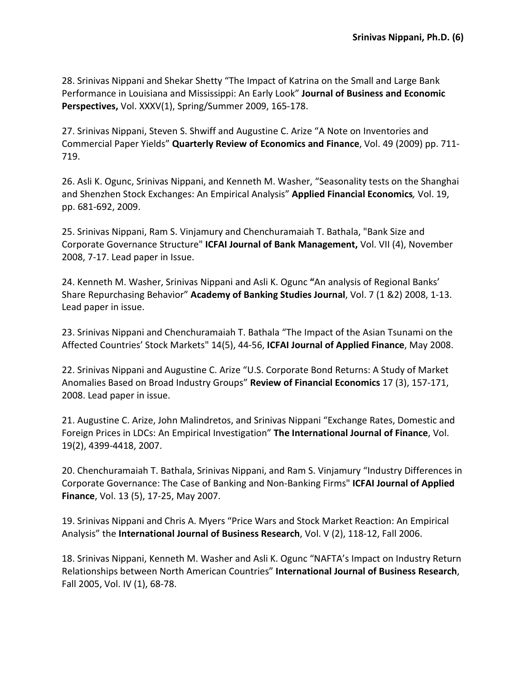28. Srinivas Nippani and Shekar Shetty "The Impact of Katrina on the Small and Large Bank Performance in Louisiana and Mississippi: An Early Look" **Journal of Business and Economic Perspectives,** Vol. XXXV(1), Spring/Summer 2009, 165-178.

27. Srinivas Nippani, Steven S. Shwiff and Augustine C. Arize "A Note on Inventories and Commercial Paper Yields" **Quarterly Review of Economics and Finance**, Vol. 49 (2009) pp. 711- 719.

26. Asli K. Ogunc, Srinivas Nippani, and Kenneth M. Washer, "Seasonality tests on the Shanghai and Shenzhen Stock Exchanges: An Empirical Analysis" **Applied Financial Economics***,* Vol. 19, pp. 681-692, 2009.

25. Srinivas Nippani, Ram S. Vinjamury and Chenchuramaiah T. Bathala, "Bank Size and Corporate Governance Structure" **ICFAI Journal of Bank Management,** Vol. VII (4), November 2008, 7-17. Lead paper in Issue.

24. Kenneth M. Washer, Srinivas Nippani and Asli K. Ogunc **"**An analysis of Regional Banks' Share Repurchasing Behavior" **Academy of Banking Studies Journal**, Vol. 7 (1 &2) 2008, 1-13. Lead paper in issue.

23. Srinivas Nippani and Chenchuramaiah T. Bathala "The Impact of the Asian Tsunami on the Affected Countries' Stock Markets" 14(5), 44-56, **ICFAI Journal of Applied Finance**, May 2008.

22. Srinivas Nippani and Augustine C. Arize "U.S. Corporate Bond Returns: A Study of Market Anomalies Based on Broad Industry Groups" **Review of Financial Economics** 17 (3), 157-171, 2008. Lead paper in issue.

21. Augustine C. Arize, John Malindretos, and Srinivas Nippani "Exchange Rates, Domestic and Foreign Prices in LDCs: An Empirical Investigation" **The International Journal of Finance**, Vol. 19(2), 4399-4418, 2007.

20. Chenchuramaiah T. Bathala, Srinivas Nippani, and Ram S. Vinjamury "Industry Differences in Corporate Governance: The Case of Banking and Non-Banking Firms" **ICFAI Journal of Applied Finance**, Vol. 13 (5), 17-25, May 2007.

19. Srinivas Nippani and Chris A. Myers "Price Wars and Stock Market Reaction: An Empirical Analysis" the **International Journal of Business Research**, Vol. V (2), 118-12, Fall 2006.

18. Srinivas Nippani, Kenneth M. Washer and Asli K. Ogunc "NAFTA's Impact on Industry Return Relationships between North American Countries" **International Journal of Business Research**, Fall 2005, Vol. IV (1), 68-78.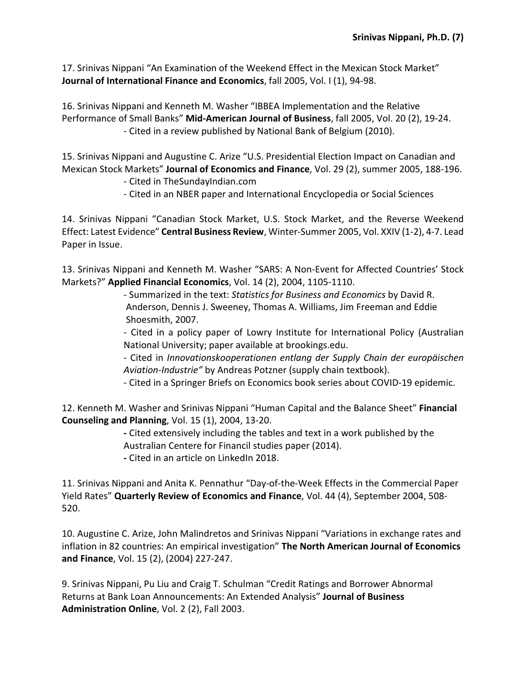17. Srinivas Nippani "An Examination of the Weekend Effect in the Mexican Stock Market" **Journal of International Finance and Economics**, fall 2005, Vol. I (1), 94-98.

16. Srinivas Nippani and Kenneth M. Washer "IBBEA Implementation and the Relative Performance of Small Banks" **Mid-American Journal of Business**, fall 2005, Vol. 20 (2), 19-24. - Cited in a review published by National Bank of Belgium (2010).

15. Srinivas Nippani and Augustine C. Arize "U.S. Presidential Election Impact on Canadian and Mexican Stock Markets" **Journal of Economics and Finance**, Vol. 29 (2), summer 2005, 188-196.

- Cited in TheSundayIndian.com

- Cited in an NBER paper and International Encyclopedia or Social Sciences

14. Srinivas Nippani "Canadian Stock Market, U.S. Stock Market, and the Reverse Weekend Effect: Latest Evidence" **Central Business Review**, Winter-Summer 2005, Vol. XXIV (1-2), 4-7. Lead Paper in Issue.

13. Srinivas Nippani and Kenneth M. Washer "SARS: A Non-Event for Affected Countries' Stock Markets?" **Applied Financial Economics**, Vol. 14 (2), 2004, 1105-1110.

> - Summarized in the text: *Statistics for Business and Economics* by David R. Anderson, Dennis J. Sweeney, Thomas A. Williams, Jim Freeman and Eddie Shoesmith, 2007.

- Cited in a policy paper of Lowry Institute for International Policy (Australian National University; paper available at brookings.edu.

- Cited in *Innovationskooperationen entlang der Supply Chain der europäischen Aviation-Industrie"* by Andreas Potzner (supply chain textbook).

- Cited in a Springer Briefs on Economics book series about COVID-19 epidemic.

12. Kenneth M. Washer and Srinivas Nippani "Human Capital and the Balance Sheet" **Financial Counseling and Planning**, Vol. 15 (1), 2004, 13-20.

> **-** Cited extensively including the tables and text in a work published by the Australian Centere for Financil studies paper (2014).

**-** Cited in an article on LinkedIn 2018.

11. Srinivas Nippani and Anita K. Pennathur "Day-of-the-Week Effects in the Commercial Paper Yield Rates" **Quarterly Review of Economics and Finance**, Vol. 44 (4), September 2004, 508- 520.

10. Augustine C. Arize, John Malindretos and Srinivas Nippani "Variations in exchange rates and inflation in 82 countries: An empirical investigation" **The North American Journal of Economics and Finance**, Vol. 15 (2), (2004) 227-247.

9. Srinivas Nippani, Pu Liu and Craig T. Schulman "Credit Ratings and Borrower Abnormal Returns at Bank Loan Announcements: An Extended Analysis" **Journal of Business Administration Online**, Vol. 2 (2), Fall 2003.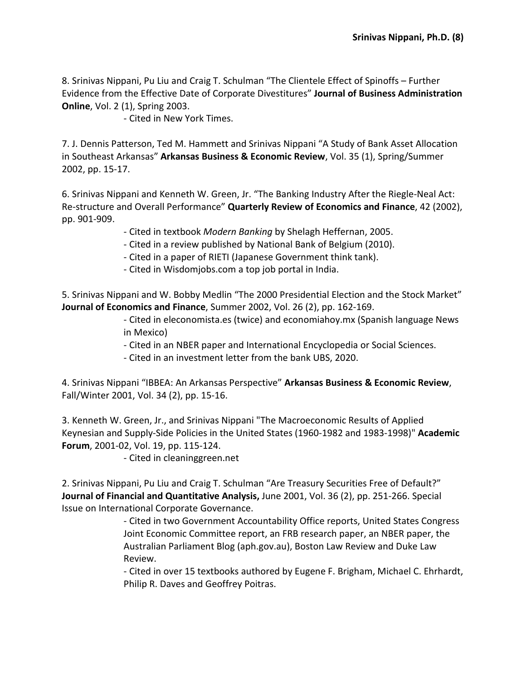8. Srinivas Nippani, Pu Liu and Craig T. Schulman "The Clientele Effect of Spinoffs – Further Evidence from the Effective Date of Corporate Divestitures" **Journal of Business Administration Online**, Vol. 2 (1), Spring 2003.

- Cited in New York Times.

7. J. Dennis Patterson, Ted M. Hammett and Srinivas Nippani "A Study of Bank Asset Allocation in Southeast Arkansas" **Arkansas Business & Economic Review**, Vol. 35 (1), Spring/Summer 2002, pp. 15-17.

6. Srinivas Nippani and Kenneth W. Green, Jr. "The Banking Industry After the Riegle-Neal Act: Re-structure and Overall Performance" **Quarterly Review of Economics and Finance**, 42 (2002), pp. 901-909.

- Cited in textbook *Modern Banking* by Shelagh Heffernan, 2005.
- Cited in a review published by National Bank of Belgium (2010).
- Cited in a paper of RIETI (Japanese Government think tank).
- Cited in Wisdomjobs.com a top job portal in India.

5. Srinivas Nippani and W. Bobby Medlin "The 2000 Presidential Election and the Stock Market" **Journal of Economics and Finance**, Summer 2002, Vol. 26 (2), pp. 162-169.

> - Cited in eleconomista.es (twice) and economiahoy.mx (Spanish language News in Mexico)

- Cited in an NBER paper and International Encyclopedia or Social Sciences.
- Cited in an investment letter from the bank UBS, 2020.

4. Srinivas Nippani "IBBEA: An Arkansas Perspective" **Arkansas Business & Economic Review**, Fall/Winter 2001, Vol. 34 (2), pp. 15-16.

3. Kenneth W. Green, Jr., and Srinivas Nippani "The Macroeconomic Results of Applied Keynesian and Supply-Side Policies in the United States (1960-1982 and 1983-1998)" **Academic Forum**, 2001-02, Vol. 19, pp. 115-124.

- Cited in cleaninggreen.net

2. Srinivas Nippani, Pu Liu and Craig T. Schulman "Are Treasury Securities Free of Default?" **Journal of Financial and Quantitative Analysis,** June 2001, Vol. 36 (2), pp. 251-266. Special Issue on International Corporate Governance.

> - Cited in two Government Accountability Office reports, United States Congress Joint Economic Committee report, an FRB research paper, an NBER paper, the Australian Parliament Blog (aph.gov.au), Boston Law Review and Duke Law Review.

> - Cited in over 15 textbooks authored by Eugene F. Brigham, Michael C. Ehrhardt, Philip R. Daves and Geoffrey Poitras.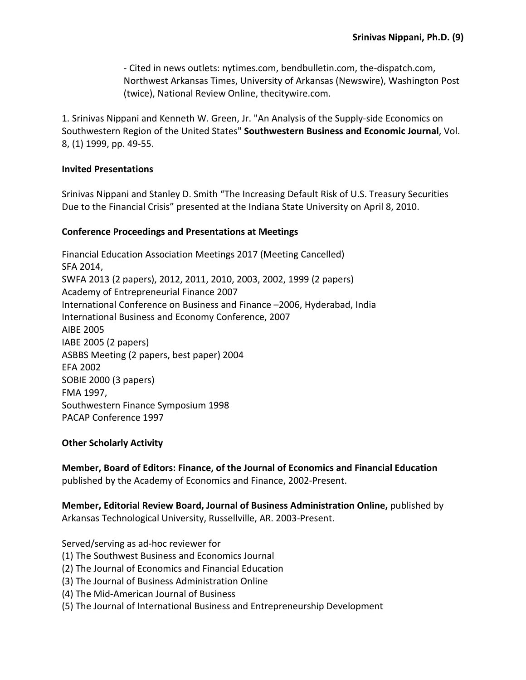- Cited in news outlets: nytimes.com, bendbulletin.com, the-dispatch.com, Northwest Arkansas Times, University of Arkansas (Newswire), Washington Post (twice), National Review Online, thecitywire.com.

1. Srinivas Nippani and Kenneth W. Green, Jr. "An Analysis of the Supply-side Economics on Southwestern Region of the United States" **Southwestern Business and Economic Journal**, Vol. 8, (1) 1999, pp. 49-55.

#### **Invited Presentations**

Srinivas Nippani and Stanley D. Smith "The Increasing Default Risk of U.S. Treasury Securities Due to the Financial Crisis" presented at the Indiana State University on April 8, 2010.

#### **Conference Proceedings and Presentations at Meetings**

Financial Education Association Meetings 2017 (Meeting Cancelled) SFA 2014, SWFA 2013 (2 papers), 2012, 2011, 2010, 2003, 2002, 1999 (2 papers) Academy of Entrepreneurial Finance 2007 International Conference on Business and Finance –2006, Hyderabad, India International Business and Economy Conference, 2007 AIBE 2005 IABE 2005 (2 papers) ASBBS Meeting (2 papers, best paper) 2004 EFA 2002 SOBIE 2000 (3 papers) FMA 1997, Southwestern Finance Symposium 1998 PACAP Conference 1997

### **Other Scholarly Activity**

**Member, Board of Editors: Finance, of the Journal of Economics and Financial Education** published by the Academy of Economics and Finance, 2002-Present.

**Member, Editorial Review Board, Journal of Business Administration Online,** published by Arkansas Technological University, Russellville, AR. 2003-Present.

Served/serving as ad-hoc reviewer for

- (1) The Southwest Business and Economics Journal
- (2) The Journal of Economics and Financial Education
- (3) The Journal of Business Administration Online
- (4) The Mid-American Journal of Business
- (5) The Journal of International Business and Entrepreneurship Development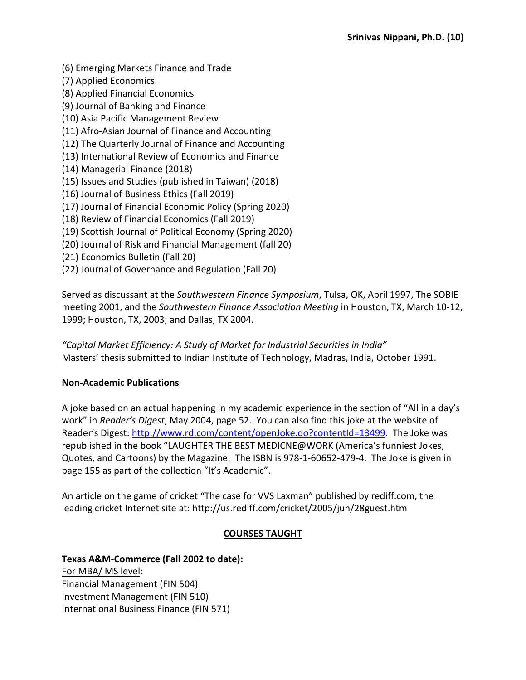- (6) Emerging Markets Finance and Trade
- (7) Applied Economics
- (8) Applied Financial Economics
- (9) Journal of Banking and Finance
- (10) Asia Pacific Management Review
- (11) Afro-Asian Journal of Finance and Accounting
- (12) The Quarterly Journal of Finance and Accounting
- (13) International Review of Economics and Finance
- (14) Managerial Finance (2018)
- (15) Issues and Studies (published in Taiwan) (2018)
- (16) Journal of Business Ethics (Fall 2019)
- (17) Journal of Financial Economic Policy (Spring 2020)
- (18) Review of Financial Economics (Fall 2019)
- (19) Scottish Journal of Political Economy (Spring 2020)
- (20) Journal of Risk and Financial Management (fall 20)
- (21) Economics Bulletin (Fall 20)
- (22) Journal of Governance and Regulation (Fall 20)

Served as discussant at the *Southwestern Finance Symposium*, Tulsa, OK, April 1997, The SOBIE meeting 2001, and the *Southwestern Finance Association Meeting* in Houston, TX, March 10-12, 1999; Houston, TX, 2003; and Dallas, TX 2004.

*"Capital Market Efficiency: A Study of Market for Industrial Securities in India"* Masters' thesis submitted to Indian Institute of Technology, Madras, India, October 1991.

### **Non-Academic Publications**

A joke based on an actual happening in my academic experience in the section of "All in a day's work" in *Reader's Digest*, May 2004, page 52. You can also find this joke at the website of Reader's Digest: [http://www.rd.com/content/openJoke.do?contentId=13499.](http://www.rd.com/content/openJoke.do?contentId=13499) The Joke was republished in the book "LAUGHTER THE BEST MEDICNE@WORK (America's funniest Jokes, Quotes, and Cartoons) by the Magazine. The ISBN is 978-1-60652-479-4. The Joke is given in page 155 as part of the collection "It's Academic".

An article on the game of cricket "The case for VVS Laxman" published by rediff.com, the leading cricket Internet site at: http://us.rediff.com/cricket/2005/jun/28guest.htm

# **COURSES TAUGHT**

# **Texas A&M-Commerce (Fall 2002 to date):**

For MBA/ MS level: Financial Management (FIN 504) Investment Management (FIN 510) International Business Finance (FIN 571)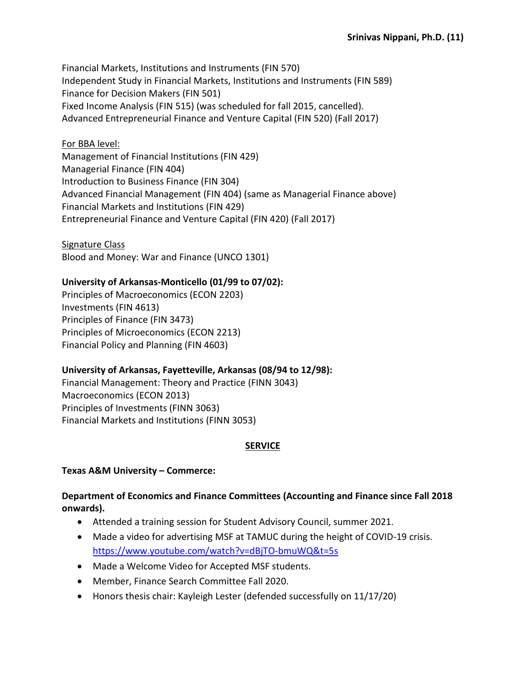Financial Markets, Institutions and Instruments (FIN 570) Independent Study in Financial Markets, Institutions and Instruments (FIN 589) Finance for Decision Makers (FIN 501) Fixed Income Analysis (FIN 515) (was scheduled for fall 2015, cancelled). Advanced Entrepreneurial Finance and Venture Capital (FIN 520) (Fall 2017)

## For BBA level:

Management of Financial Institutions (FIN 429) Managerial Finance (FIN 404) Introduction to Business Finance (FIN 304) Advanced Financial Management (FIN 404) (same as Managerial Finance above) Financial Markets and Institutions (FIN 429) Entrepreneurial Finance and Venture Capital (FIN 420) (Fall 2017)

Signature Class Blood and Money: War and Finance (UNCO 1301)

## **University of Arkansas-Monticello (01/99 to 07/02):**

Principles of Macroeconomics (ECON 2203) Investments (FIN 4613) Principles of Finance (FIN 3473) Principles of Microeconomics (ECON 2213) Financial Policy and Planning (FIN 4603)

### **University of Arkansas, Fayetteville, Arkansas (08/94 to 12/98):**

Financial Management: Theory and Practice (FINN 3043) Macroeconomics (ECON 2013) Principles of Investments (FINN 3063) Financial Markets and Institutions (FINN 3053)

# **SERVICE**

**Texas A&M University – Commerce:** 

## **Department of Economics and Finance Committees (Accounting and Finance since Fall 2018 onwards).**

- Attended a training session for Student Advisory Council, summer 2021.
- Made a video for advertising MSF at TAMUC during the height of COVID-19 crisis. <https://www.youtube.com/watch?v=dBjTO-bmuWQ&t=5s>
- Made a Welcome Video for Accepted MSF students.
- Member, Finance Search Committee Fall 2020.
- Honors thesis chair: Kayleigh Lester (defended successfully on 11/17/20)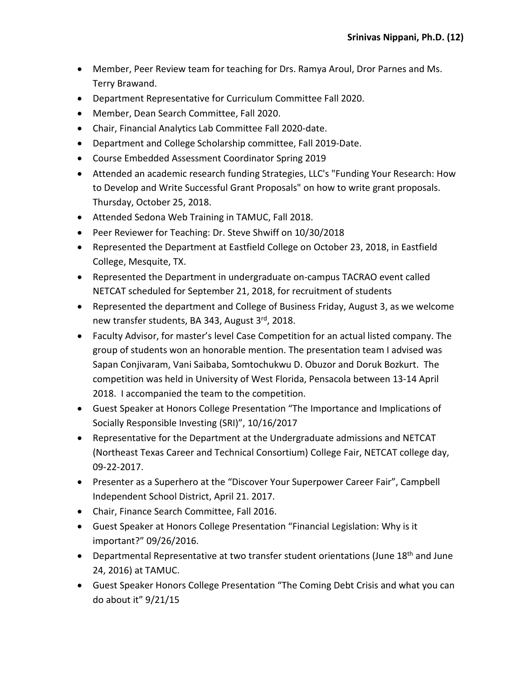- Member, Peer Review team for teaching for Drs. Ramya Aroul, Dror Parnes and Ms. Terry Brawand.
- Department Representative for Curriculum Committee Fall 2020.
- Member, Dean Search Committee, Fall 2020.
- Chair, Financial Analytics Lab Committee Fall 2020-date.
- Department and College Scholarship committee, Fall 2019-Date.
- Course Embedded Assessment Coordinator Spring 2019
- Attended an academic research funding Strategies, LLC's "Funding Your Research: How to Develop and Write Successful Grant Proposals" on how to write grant proposals. Thursday, October 25, 2018.
- Attended Sedona Web Training in TAMUC, Fall 2018.
- Peer Reviewer for Teaching: Dr. Steve Shwiff on 10/30/2018
- Represented the Department at Eastfield College on October 23, 2018, in Eastfield College, Mesquite, TX.
- Represented the Department in undergraduate on-campus TACRAO event called NETCAT scheduled for September 21, 2018, for recruitment of students
- Represented the department and College of Business Friday, August 3, as we welcome new transfer students, BA 343, August 3rd, 2018.
- Faculty Advisor, for master's level Case Competition for an actual listed company. The group of students won an honorable mention. The presentation team I advised was Sapan Conjivaram, Vani Saibaba, Somtochukwu D. Obuzor and Doruk Bozkurt. The competition was held in University of West Florida, Pensacola between 13-14 April 2018. I accompanied the team to the competition.
- Guest Speaker at Honors College Presentation "The Importance and Implications of Socially Responsible Investing (SRI)", 10/16/2017
- Representative for the Department at the Undergraduate admissions and NETCAT (Northeast Texas Career and Technical Consortium) College Fair, NETCAT college day, 09-22-2017.
- Presenter as a Superhero at the "Discover Your Superpower Career Fair", Campbell Independent School District, April 21. 2017.
- Chair, Finance Search Committee, Fall 2016.
- Guest Speaker at Honors College Presentation "Financial Legislation: Why is it important?" 09/26/2016.
- Departmental Representative at two transfer student orientations (June 18<sup>th</sup> and June 24, 2016) at TAMUC.
- Guest Speaker Honors College Presentation "The Coming Debt Crisis and what you can do about it" 9/21/15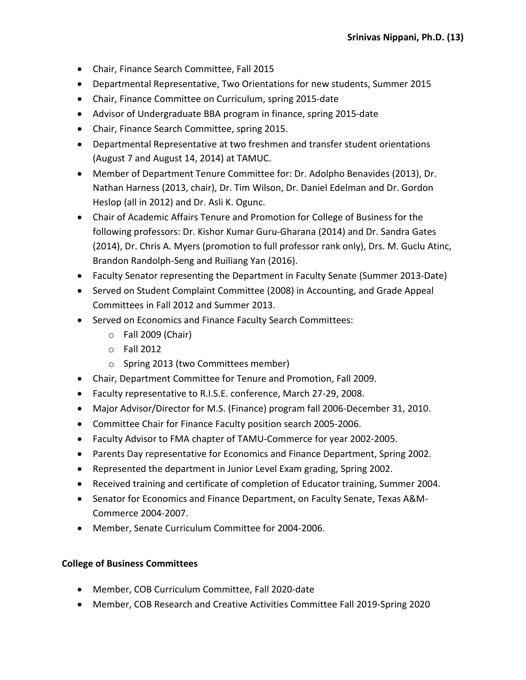- Chair, Finance Search Committee, Fall 2015
- Departmental Representative, Two Orientations for new students, Summer 2015
- Chair, Finance Committee on Curriculum, spring 2015-date
- Advisor of Undergraduate BBA program in finance, spring 2015-date
- Chair, Finance Search Committee, spring 2015.
- Departmental Representative at two freshmen and transfer student orientations (August 7 and August 14, 2014) at TAMUC.
- Member of Department Tenure Committee for: Dr. Adolpho Benavides (2013), Dr. Nathan Harness (2013, chair), Dr. Tim Wilson, Dr. Daniel Edelman and Dr. Gordon Heslop (all in 2012) and Dr. Asli K. Ogunc.
- Chair of Academic Affairs Tenure and Promotion for College of Business for the following professors: Dr. Kishor Kumar Guru-Gharana (2014) and Dr. Sandra Gates (2014), Dr. Chris A. Myers (promotion to full professor rank only), Drs. M. Guclu Atinc, Brandon Randolph-Seng and Ruiliang Yan (2016).
- Faculty Senator representing the Department in Faculty Senate (Summer 2013-Date)
- Served on Student Complaint Committee (2008) in Accounting, and Grade Appeal Committees in Fall 2012 and Summer 2013.
- Served on Economics and Finance Faculty Search Committees:
	- o Fall 2009 (Chair)
	- o Fall 2012
	- o Spring 2013 (two Committees member)
- Chair, Department Committee for Tenure and Promotion, Fall 2009.
- Faculty representative to R.I.S.E. conference, March 27-29, 2008.
- Major Advisor/Director for M.S. (Finance) program fall 2006-December 31, 2010.
- Committee Chair for Finance Faculty position search 2005-2006.
- Faculty Advisor to FMA chapter of TAMU-Commerce for year 2002-2005.
- Parents Day representative for Economics and Finance Department, Spring 2002.
- Represented the department in Junior Level Exam grading, Spring 2002.
- Received training and certificate of completion of Educator training, Summer 2004.
- Senator for Economics and Finance Department, on Faculty Senate, Texas A&M-Commerce 2004-2007.
- Member, Senate Curriculum Committee for 2004-2006.

### **College of Business Committees**

- Member, COB Curriculum Committee, Fall 2020-date
- Member, COB Research and Creative Activities Committee Fall 2019-Spring 2020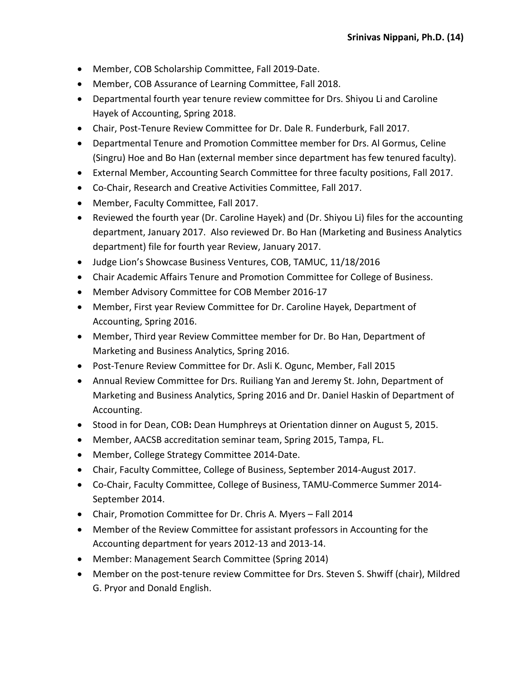- Member, COB Scholarship Committee, Fall 2019-Date.
- Member, COB Assurance of Learning Committee, Fall 2018.
- Departmental fourth year tenure review committee for Drs. Shiyou Li and Caroline Hayek of Accounting, Spring 2018.
- Chair, Post-Tenure Review Committee for Dr. Dale R. Funderburk, Fall 2017.
- Departmental Tenure and Promotion Committee member for Drs. Al Gormus, Celine (Singru) Hoe and Bo Han (external member since department has few tenured faculty).
- External Member, Accounting Search Committee for three faculty positions, Fall 2017.
- Co-Chair, Research and Creative Activities Committee, Fall 2017.
- Member, Faculty Committee, Fall 2017.
- Reviewed the fourth year (Dr. Caroline Hayek) and (Dr. Shiyou Li) files for the accounting department, January 2017. Also reviewed Dr. Bo Han (Marketing and Business Analytics department) file for fourth year Review, January 2017.
- Judge Lion's Showcase Business Ventures, COB, TAMUC, 11/18/2016
- Chair Academic Affairs Tenure and Promotion Committee for College of Business.
- Member Advisory Committee for COB Member 2016-17
- Member, First year Review Committee for Dr. Caroline Hayek, Department of Accounting, Spring 2016.
- Member, Third year Review Committee member for Dr. Bo Han, Department of Marketing and Business Analytics, Spring 2016.
- Post-Tenure Review Committee for Dr. Asli K. Ogunc, Member, Fall 2015
- Annual Review Committee for Drs. Ruiliang Yan and Jeremy St. John, Department of Marketing and Business Analytics, Spring 2016 and Dr. Daniel Haskin of Department of Accounting.
- Stood in for Dean, COB**:** Dean Humphreys at Orientation dinner on August 5, 2015.
- Member, AACSB accreditation seminar team, Spring 2015, Tampa, FL.
- Member, College Strategy Committee 2014-Date.
- Chair, Faculty Committee, College of Business, September 2014-August 2017.
- Co-Chair, Faculty Committee, College of Business, TAMU-Commerce Summer 2014- September 2014.
- Chair, Promotion Committee for Dr. Chris A. Myers Fall 2014
- Member of the Review Committee for assistant professors in Accounting for the Accounting department for years 2012-13 and 2013-14.
- Member: Management Search Committee (Spring 2014)
- Member on the post-tenure review Committee for Drs. Steven S. Shwiff (chair), Mildred G. Pryor and Donald English.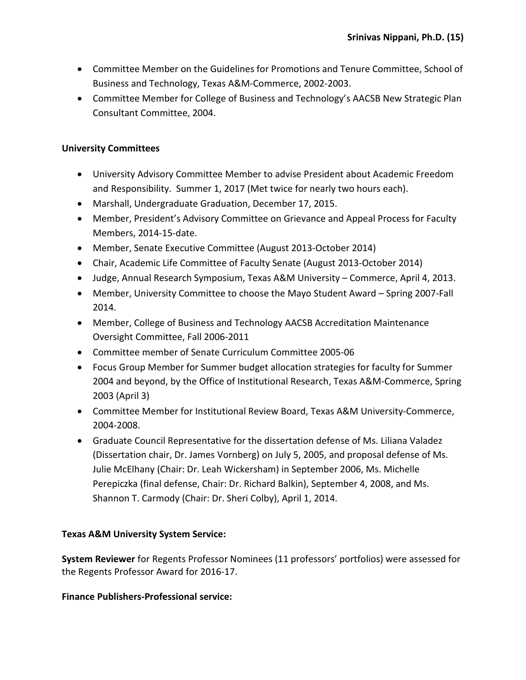- Committee Member on the Guidelines for Promotions and Tenure Committee, School of Business and Technology, Texas A&M-Commerce, 2002-2003.
- Committee Member for College of Business and Technology's AACSB New Strategic Plan Consultant Committee, 2004.

### **University Committees**

- University Advisory Committee Member to advise President about Academic Freedom and Responsibility. Summer 1, 2017 (Met twice for nearly two hours each).
- Marshall, Undergraduate Graduation, December 17, 2015.
- Member, President's Advisory Committee on Grievance and Appeal Process for Faculty Members, 2014-15-date.
- Member, Senate Executive Committee (August 2013-October 2014)
- Chair, Academic Life Committee of Faculty Senate (August 2013-October 2014)
- Judge, Annual Research Symposium, Texas A&M University Commerce, April 4, 2013.
- Member, University Committee to choose the Mayo Student Award Spring 2007-Fall 2014.
- Member, College of Business and Technology AACSB Accreditation Maintenance Oversight Committee, Fall 2006-2011
- Committee member of Senate Curriculum Committee 2005-06
- Focus Group Member for Summer budget allocation strategies for faculty for Summer 2004 and beyond, by the Office of Institutional Research, Texas A&M-Commerce, Spring 2003 (April 3)
- Committee Member for Institutional Review Board, Texas A&M University-Commerce, 2004-2008.
- Graduate Council Representative for the dissertation defense of Ms. Liliana Valadez (Dissertation chair, Dr. James Vornberg) on July 5, 2005, and proposal defense of Ms. Julie McElhany (Chair: Dr. Leah Wickersham) in September 2006, Ms. Michelle Perepiczka (final defense, Chair: Dr. Richard Balkin), September 4, 2008, and Ms. Shannon T. Carmody (Chair: Dr. Sheri Colby), April 1, 2014.

# **Texas A&M University System Service:**

**System Reviewer** for Regents Professor Nominees (11 professors' portfolios) were assessed for the Regents Professor Award for 2016-17.

### **Finance Publishers-Professional service:**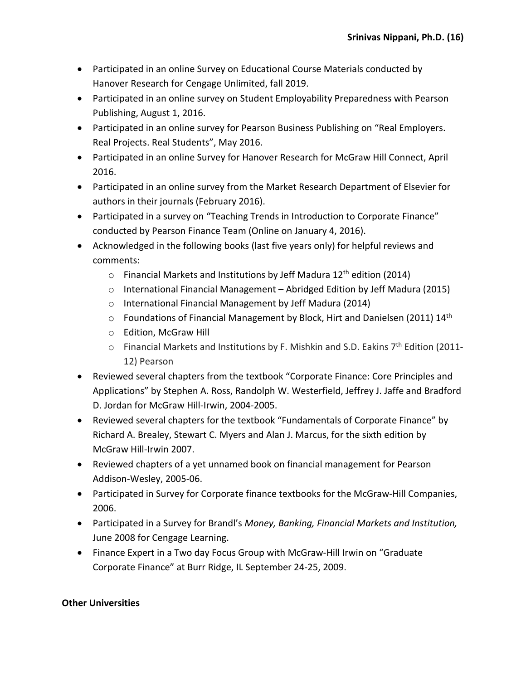- Participated in an online Survey on Educational Course Materials conducted by Hanover Research for Cengage Unlimited, fall 2019.
- Participated in an online survey on Student Employability Preparedness with Pearson Publishing, August 1, 2016.
- Participated in an online survey for Pearson Business Publishing on "Real Employers. Real Projects. Real Students", May 2016.
- Participated in an online Survey for Hanover Research for McGraw Hill Connect, April 2016.
- Participated in an online survey from the Market Research Department of Elsevier for authors in their journals (February 2016).
- Participated in a survey on "Teaching Trends in Introduction to Corporate Finance" conducted by Pearson Finance Team (Online on January 4, 2016).
- Acknowledged in the following books (last five years only) for helpful reviews and comments:
	- $\circ$  Financial Markets and Institutions by Jeff Madura 12<sup>th</sup> edition (2014)
	- o International Financial Management Abridged Edition by Jeff Madura (2015)
	- o International Financial Management by Jeff Madura (2014)
	- $\circ$  Foundations of Financial Management by Block, Hirt and Danielsen (2011) 14<sup>th</sup>
	- o Edition, McGraw Hill
	- $\circ$  Financial Markets and Institutions by F. Mishkin and S.D. Eakins 7<sup>th</sup> Edition (2011-12) Pearson
- Reviewed several chapters from the textbook "Corporate Finance: Core Principles and Applications" by Stephen A. Ross, Randolph W. Westerfield, Jeffrey J. Jaffe and Bradford D. Jordan for McGraw Hill-Irwin, 2004-2005.
- Reviewed several chapters for the textbook "Fundamentals of Corporate Finance" by Richard A. Brealey, Stewart C. Myers and Alan J. Marcus, for the sixth edition by McGraw Hill-Irwin 2007.
- Reviewed chapters of a yet unnamed book on financial management for Pearson Addison-Wesley, 2005-06.
- Participated in Survey for Corporate finance textbooks for the McGraw-Hill Companies, 2006.
- Participated in a Survey for Brandl's *Money, Banking, Financial Markets and Institution,*  June 2008 for Cengage Learning.
- Finance Expert in a Two day Focus Group with McGraw-Hill Irwin on "Graduate Corporate Finance" at Burr Ridge, IL September 24-25, 2009.

### **Other Universities**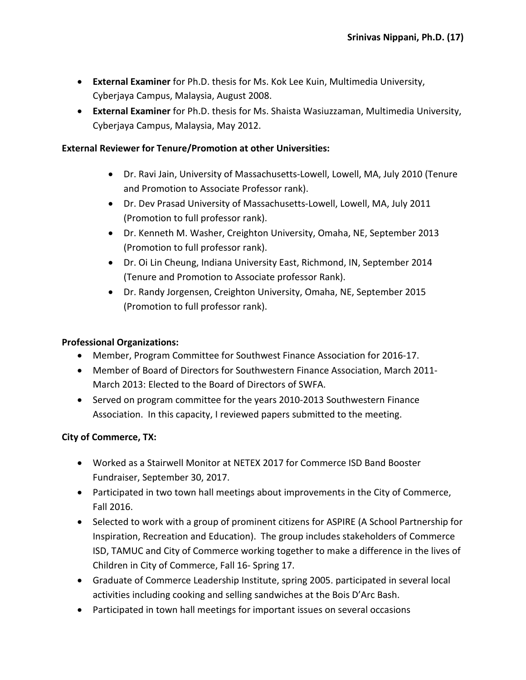- **External Examiner** for Ph.D. thesis for Ms. Kok Lee Kuin, Multimedia University, Cyberjaya Campus, Malaysia, August 2008.
- **External Examiner** for Ph.D. thesis for Ms. Shaista Wasiuzzaman, Multimedia University, Cyberjaya Campus, Malaysia, May 2012.

#### **External Reviewer for Tenure/Promotion at other Universities:**

- Dr. Ravi Jain, University of Massachusetts-Lowell, Lowell, MA, July 2010 (Tenure and Promotion to Associate Professor rank).
- Dr. Dev Prasad University of Massachusetts-Lowell, Lowell, MA, July 2011 (Promotion to full professor rank).
- Dr. Kenneth M. Washer, Creighton University, Omaha, NE, September 2013 (Promotion to full professor rank).
- Dr. Oi Lin Cheung, Indiana University East, Richmond, IN, September 2014 (Tenure and Promotion to Associate professor Rank).
- Dr. Randy Jorgensen, Creighton University, Omaha, NE, September 2015 (Promotion to full professor rank).

#### **Professional Organizations:**

- Member, Program Committee for Southwest Finance Association for 2016-17.
- Member of Board of Directors for Southwestern Finance Association, March 2011- March 2013: Elected to the Board of Directors of SWFA.
- Served on program committee for the years 2010-2013 Southwestern Finance Association. In this capacity, I reviewed papers submitted to the meeting.

### **City of Commerce, TX:**

- Worked as a Stairwell Monitor at NETEX 2017 for Commerce ISD Band Booster Fundraiser, September 30, 2017.
- Participated in two town hall meetings about improvements in the City of Commerce, Fall 2016.
- Selected to work with a group of prominent citizens for ASPIRE (A School Partnership for Inspiration, Recreation and Education). The group includes stakeholders of Commerce ISD, TAMUC and City of Commerce working together to make a difference in the lives of Children in City of Commerce, Fall 16- Spring 17.
- Graduate of Commerce Leadership Institute, spring 2005. participated in several local activities including cooking and selling sandwiches at the Bois D'Arc Bash.
- Participated in town hall meetings for important issues on several occasions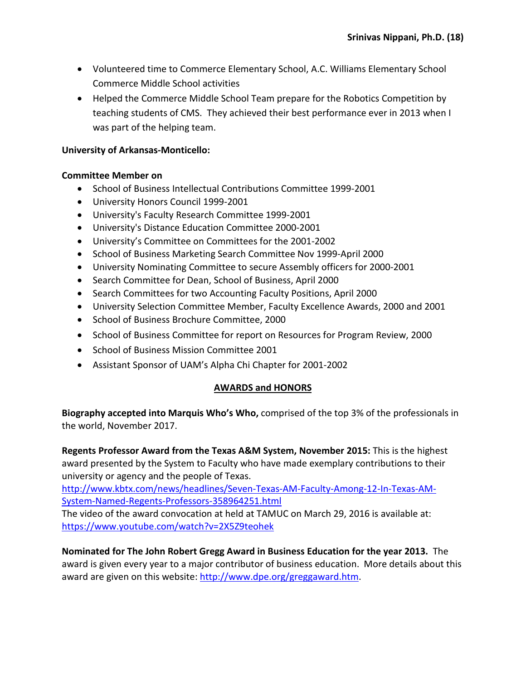- Volunteered time to Commerce Elementary School, A.C. Williams Elementary School Commerce Middle School activities
- Helped the Commerce Middle School Team prepare for the Robotics Competition by teaching students of CMS. They achieved their best performance ever in 2013 when I was part of the helping team.

### **University of Arkansas-Monticello:**

### **Committee Member on**

- School of Business Intellectual Contributions Committee 1999-2001
- University Honors Council 1999-2001
- University's Faculty Research Committee 1999-2001
- University's Distance Education Committee 2000-2001
- University's Committee on Committees for the 2001-2002
- School of Business Marketing Search Committee Nov 1999-April 2000
- University Nominating Committee to secure Assembly officers for 2000-2001
- Search Committee for Dean, School of Business, April 2000
- Search Committees for two Accounting Faculty Positions, April 2000
- University Selection Committee Member, Faculty Excellence Awards, 2000 and 2001
- School of Business Brochure Committee, 2000
- School of Business Committee for report on Resources for Program Review, 2000
- School of Business Mission Committee 2001
- Assistant Sponsor of UAM's Alpha Chi Chapter for 2001-2002

# **AWARDS and HONORS**

**Biography accepted into Marquis Who's Who,** comprised of the top 3% of the professionals in the world, November 2017.

**Regents Professor Award from the Texas A&M System, November 2015:** This is the highest award presented by the System to Faculty who have made exemplary contributions to their university or agency and the people of Texas.

[http://www.kbtx.com/news/headlines/Seven-Texas-AM-Faculty-Among-12-In-Texas-AM-](http://www.kbtx.com/news/headlines/Seven-Texas-AM-Faculty-Among-12-In-Texas-AM-System-Named-Regents-Professors-358964251.html)[System-Named-Regents-Professors-358964251.html](http://www.kbtx.com/news/headlines/Seven-Texas-AM-Faculty-Among-12-In-Texas-AM-System-Named-Regents-Professors-358964251.html)

The video of the award convocation at held at TAMUC on March 29, 2016 is available at: <https://www.youtube.com/watch?v=2X5Z9teohek>

**Nominated for The John Robert Gregg Award in Business Education for the year 2013.** The award is given every year to a major contributor of business education. More details about this award are given on this website[: http://www.dpe.org/greggaward.htm.](http://www.dpe.org/greggaward.htm)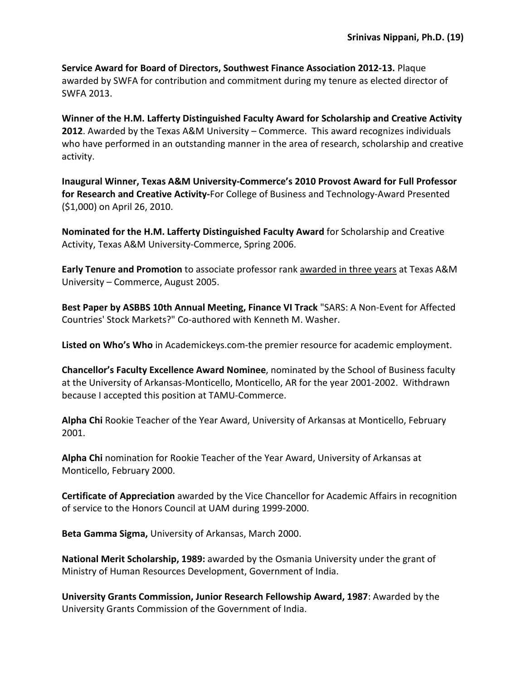**Service Award for Board of Directors, Southwest Finance Association 2012-13.** Plaque awarded by SWFA for contribution and commitment during my tenure as elected director of SWFA 2013.

**Winner of the H.M. Lafferty Distinguished Faculty Award for Scholarship and Creative Activity 2012**. Awarded by the Texas A&M University – Commerce. This award recognizes individuals who have performed in an outstanding manner in the area of research, scholarship and creative activity.

**Inaugural Winner, Texas A&M University-Commerce's 2010 Provost Award for Full Professor for Research and Creative Activity-**For College of Business and Technology-Award Presented (\$1,000) on April 26, 2010.

**Nominated for the H.M. Lafferty Distinguished Faculty Award** for Scholarship and Creative Activity, Texas A&M University-Commerce, Spring 2006.

**Early Tenure and Promotion** to associate professor rank awarded in three years at Texas A&M University – Commerce, August 2005.

**Best Paper by ASBBS 10th Annual Meeting, Finance VI Track** "SARS: A Non-Event for Affected Countries' Stock Markets?" Co-authored with Kenneth M. Washer.

**Listed on Who's Who** in Academickeys.com-the premier resource for academic employment.

**Chancellor's Faculty Excellence Award Nominee**, nominated by the School of Business faculty at the University of Arkansas-Monticello, Monticello, AR for the year 2001-2002. Withdrawn because I accepted this position at TAMU-Commerce.

**Alpha Chi** Rookie Teacher of the Year Award, University of Arkansas at Monticello, February 2001.

**Alpha Chi** nomination for Rookie Teacher of the Year Award, University of Arkansas at Monticello, February 2000.

**Certificate of Appreciation** awarded by the Vice Chancellor for Academic Affairs in recognition of service to the Honors Council at UAM during 1999-2000.

**Beta Gamma Sigma,** University of Arkansas, March 2000.

**National Merit Scholarship, 1989:** awarded by the Osmania University under the grant of Ministry of Human Resources Development, Government of India.

**University Grants Commission, Junior Research Fellowship Award, 1987**: Awarded by the University Grants Commission of the Government of India.